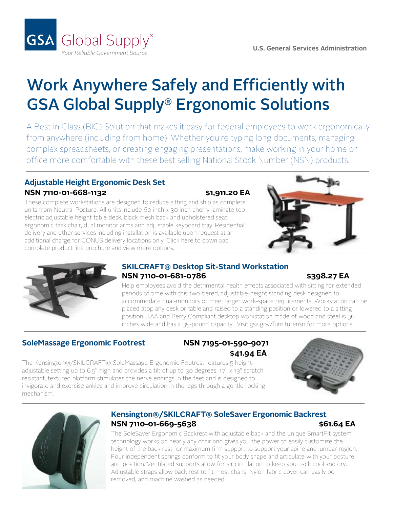

# Work Anywhere Safely and Efficiently with GSA Global Supply® Ergonomic Solutions

A Best in Class (BIC) Solution that makes it easy for federal employees to work ergonomically from anywhere (including from home). Whether you're typing long documents, managing complex spreadsheets, or creating engaging presentations, make working in your home or office more comfortable with these best selling National Stock Number (NSN) products.

### **Adjustable Height Ergonomic Desk Set NSN 7110-01-668-1132 \$1,911.20 EA**

These complete workstations are designed to reduce sitting and ship as complete units from Neutral Posture. All units include 60 inch x 30 inch cherry laminate top electric adjustable height table desk, black mesh back and upholstered seat ergonomic task chair, dual monitor arms and adjustable keyboard tray. Residential delivery and other services including installation is available upon request at an additional charge for CONUS delivery locations only. Click here to download [complete product line brochure and view more options.](https://www.gsa.gov/cdnstatic/General_Supplies__Services/NP_NSN_Stand-biased-Program_20201007.pdf)





#### **SKILCRAFT® Desktop Sit-Stand Workstation NSN** 7110-01-681-0786 \$398.27 EA

Help employees avoid the detrimental health effects associated with sitting for extended periods of time with this two-tiered, adjustable-height standing desk designed to accommodate dual-monitors or meet larger work-space requirements. Workstation can be placed atop any desk or table and raised to a standing position or lowered to a sitting position. TAA and Berry Compliant desktop workstation made of wood and steel is 36 inches wide and has a 35-pound capacity. [Visit gsa.gov/furniturensn for more options.](https://www.gsa.gov/cdnstatic/Sit_Stand_Worksurfaces_NSN_Brochure_GS-03F-GA006_8-7-17.pdf)

### **SoleMassage Ergonomic Footrest NSN 7195-01-590-9071**

# **\$41.94 EA**

The Kensington®/SKILCRAFT® SoleMassage Ergonomic Footrest features 5 heightadjustable setting up to 6.5" high and provides a tilt of up to 30 degrees. 17" x 13" scratch resistant, textured platform stimulates the nerve endings in the feet and is designed to invigorate and exercise ankles and improve circulation in the legs through a gentle rocking mechanism.





#### **Kensington®/SKILCRAFT® SoleSaver Ergonomic Backrest NSN 7110-01-669-5638 \$61.64 EA**

The SoleSaver Ergonomic Backrest with adjustable back and the unique SmartFit system technology works on nearly any chair and gives you the power to easily customize the height of the back rest for maximum firm support to support your spine and lumbar region. Four independent springs conform to fit your body shape and articulate with your posture and position. Ventilated supports allow for air circulation to keep you back cool and dry. Adjustable straps allow back rest to fit most chairs. Nylon fabric cover can easily be removed, and machine washed as needed.